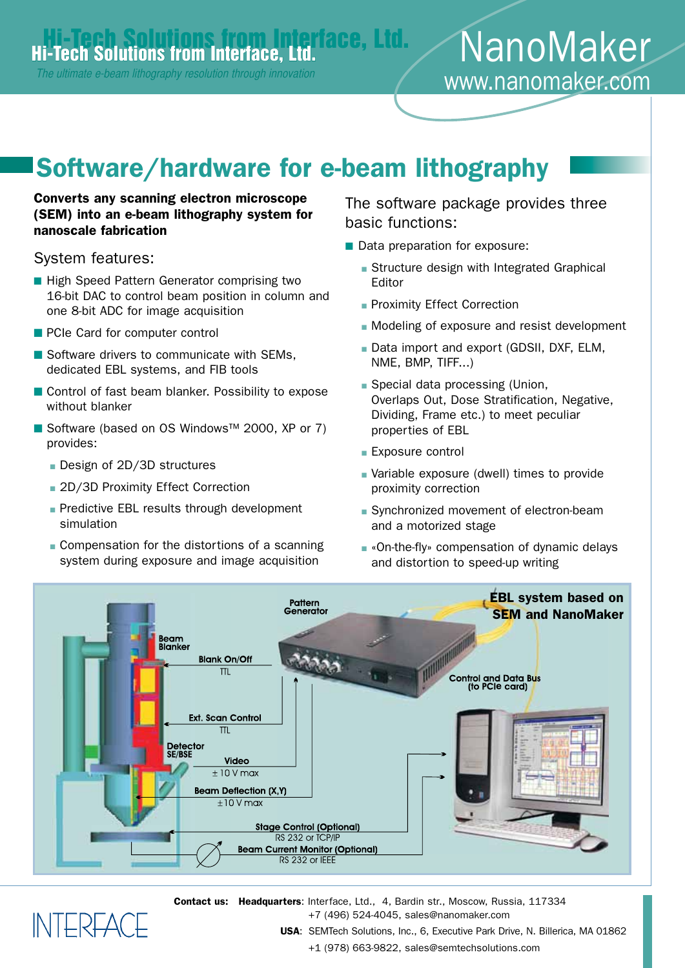NanoMaker The ultimate e-beam lithography resolution through innovation<br> **WWW.nanomaker.com** 

### **Software/hardware for e-beam lithography**

**Converts any scanning electron microscope (SEM) into an e-beam lithography system for nanoscale fabrication**

System features:

- High Speed Pattern Generator comprising two 16-bit DAC to control beam position in column and one 8-bit ADC for image acquisition
- PCIe Card for computer control
- Software drivers to communicate with SEMs, dedicated EBL systems, and FIB tools
- Control of fast beam blanker. Possibility to expose without blanker
- Software (based on OS Windows™ 2000, XP or 7) provides:
	- Design of 2D/3D structures

**INTERFACE** 

- 2D/3D Proximity Effect Correction
- Predictive EBL results through development simulation
- Compensation for the distortions of a scanning system during exposure and image acquisition

The software package provides three basic functions:

- Data preparation for exposure:
	- Structure design with Integrated Graphical Editor
	- Proximity Effect Correction
	- Modeling of exposure and resist development
	- Data import and export (GDSII, DXF, ELM, NME, BMP, TIFF...)
	- Special data processing (Union, Overlaps Out, Dose Stratification, Negative, Dividing, Frame etc.) to meet peculiar properties of EBL
	- Exposure control
	- Variable exposure (dwell) times to provide proximity correction
	- Synchronized movement of electron-beam and a motorized stage
	- «On-the-fly» compensation of dynamic delays and distortion to speed-up writing



**Contact us: Headquarters**: Interface, Ltd., 4, Bardin str., Moscow, Russia, 117334 +7 (496) 524-4045, sales@nanomaker.com

> **USA**: SEMTech Solutions, Inc., 6, Executive Park Drive, N. Billerica, MA 01862 +1 (978) 663-9822, sales@semtechsolutions.com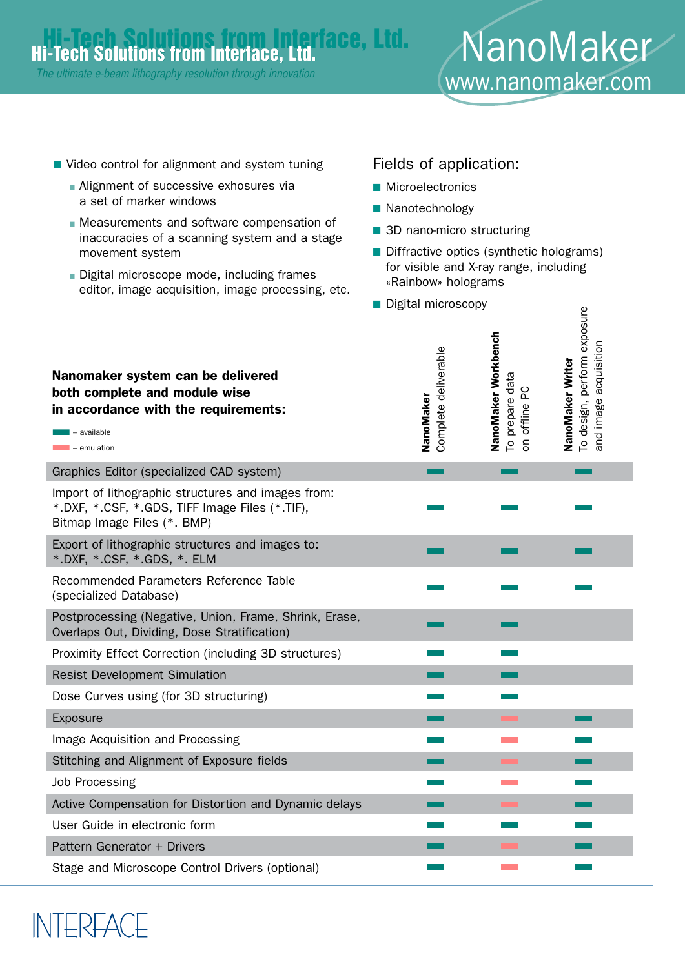## NanoMaker www.nanomaker.com

- Video control for alignment and system tuning
	- Alignment of successive exhosures via a set of marker windows
	- Measurements and software compensation of inaccuracies of a scanning system and a stage movement system
	- Digital microscope mode, including frames editor, image acquisition, image processing, etc.

### Fields of application:

- Microelectronics
- Nanotechnology
- 3D nano-micro structuring
- Diffractive optics (synthetic holograms) for visible and X-ray range, including «Rainbow» holograms

■ Digital microscopy

|                                                                                                                                                         | Digital microscopy                |                                                                               |                                                                             |
|---------------------------------------------------------------------------------------------------------------------------------------------------------|-----------------------------------|-------------------------------------------------------------------------------|-----------------------------------------------------------------------------|
| Nanomaker system can be delivered<br>both complete and module wise<br>in accordance with the requirements:<br>- available<br>$\blacksquare$ – emulation | Complete deliverable<br>NanoMaker | NanoMaker Workbench<br>data<br>ဥ<br>prepare<br>offline<br>익<br>$\overline{5}$ | To design, perform exposure<br>acquisition<br>NanoMaker Writer<br>and image |
| Graphics Editor (specialized CAD system)                                                                                                                |                                   |                                                                               |                                                                             |
| Import of lithographic structures and images from:<br>*.DXF, *.CSF, *.GDS, TIFF Image Files (*.TIF),<br>Bitmap Image Files (*. BMP)                     |                                   |                                                                               |                                                                             |
| Export of lithographic structures and images to:<br>*.DXF, *.CSF, *.GDS, *. ELM                                                                         |                                   |                                                                               |                                                                             |
| Recommended Parameters Reference Table<br>(specialized Database)                                                                                        |                                   |                                                                               |                                                                             |
| Postprocessing (Negative, Union, Frame, Shrink, Erase,<br>Overlaps Out, Dividing, Dose Stratification)                                                  |                                   |                                                                               |                                                                             |
| Proximity Effect Correction (including 3D structures)                                                                                                   |                                   |                                                                               |                                                                             |
| <b>Resist Development Simulation</b>                                                                                                                    |                                   |                                                                               |                                                                             |
| Dose Curves using (for 3D structuring)                                                                                                                  |                                   |                                                                               |                                                                             |
| Exposure                                                                                                                                                |                                   |                                                                               |                                                                             |
| Image Acquisition and Processing                                                                                                                        |                                   |                                                                               |                                                                             |
| Stitching and Alignment of Exposure fields                                                                                                              |                                   |                                                                               |                                                                             |
| Job Processing                                                                                                                                          |                                   |                                                                               |                                                                             |
| Active Compensation for Distortion and Dynamic delays                                                                                                   |                                   |                                                                               |                                                                             |
| User Guide in electronic form                                                                                                                           |                                   |                                                                               |                                                                             |
| Pattern Generator + Drivers                                                                                                                             |                                   |                                                                               |                                                                             |
| Stage and Microscope Control Drivers (optional)                                                                                                         |                                   |                                                                               |                                                                             |

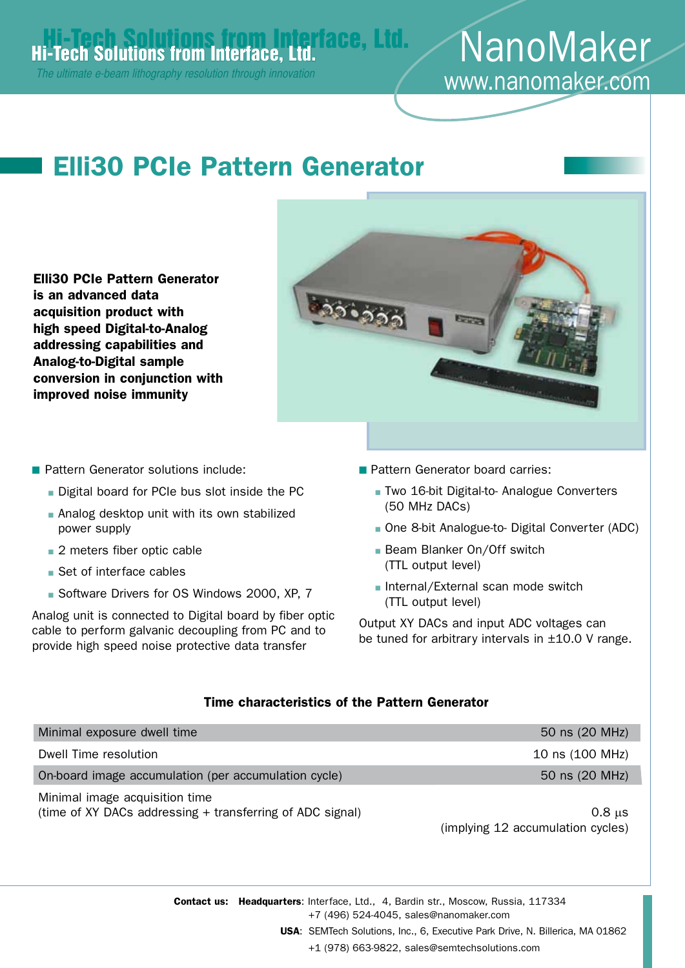## NanoMaker www.nanomaker.com

## **Elli30 PCIe Pattern Generator**

**Elli30 PCIe Pattern Generator is an advanced data acquisition product with high speed Digital-to-Analog addressing capabilities and Analog-to-Digital sample conversion in conjunction with improved noise immunity**

- Pattern Generator solutions include:
	- Digital board for PCIe bus slot inside the PC
	- Analog desktop unit with its own stabilized power supply
	- 2 meters fiber optic cable
	- Set of interface cables
	- Software Drivers for OS Windows 2000, XP, 7

Analog unit is connected to Digital board by fiber optic cable to perform galvanic decoupling from PC and to provide high speed noise protective data transfer

- Pattern Generator board carries:
	- Two 16-bit Digital-to- Analogue Converters (50 MHz DACs)
	- One 8-bit Analogue-to- Digital Converter (ADC)
	- Beam Blanker On/Off switch (TTL output level)
	- Internal/External scan mode switch (TTL output level)

Output XY DACs and input ADC voltages can be tuned for arbitrary intervals in  $\pm 10.0$  V range.

### **Time characteristics of the Pattern Generator**

| Minimal exposure dwell time                                                                 | 50 ns (20 MHz)                              |
|---------------------------------------------------------------------------------------------|---------------------------------------------|
| Dwell Time resolution                                                                       | 10 ns (100 MHz)                             |
| On-board image accumulation (per accumulation cycle)                                        | 50 ns (20 MHz)                              |
| Minimal image acquisition time<br>(time of XY DACs addressing + transferring of ADC signal) | 0.8 us<br>(implying 12 accumulation cycles) |

**Contact us: Headquarters**: Interface, Ltd., 4, Bardin str., Moscow, Russia, 117334 +7 (496) 524-4045, sales@nanomaker.com

 **USA**: SEMTech Solutions, Inc., 6, Executive Park Drive, N. Billerica, MA 01862

+1 (978) 663-9822, sales@semtechsolutions.com